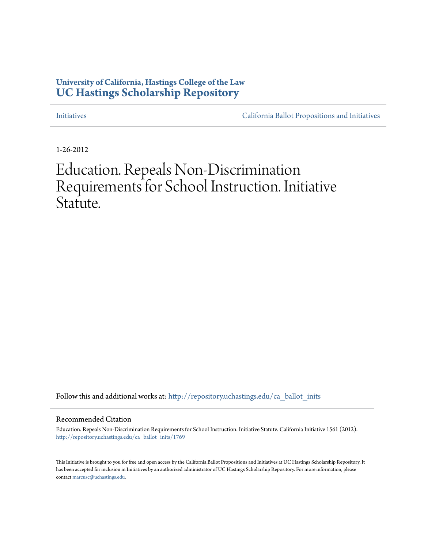# **University of California, Hastings College of the Law [UC Hastings Scholarship Repository](http://repository.uchastings.edu?utm_source=repository.uchastings.edu%2Fca_ballot_inits%2F1769&utm_medium=PDF&utm_campaign=PDFCoverPages)**

[Initiatives](http://repository.uchastings.edu/ca_ballot_inits?utm_source=repository.uchastings.edu%2Fca_ballot_inits%2F1769&utm_medium=PDF&utm_campaign=PDFCoverPages) [California Ballot Propositions and Initiatives](http://repository.uchastings.edu/ca_ballots?utm_source=repository.uchastings.edu%2Fca_ballot_inits%2F1769&utm_medium=PDF&utm_campaign=PDFCoverPages)

1-26-2012

# Education. Repeals Non-Discrimination Requirements for School Instruction. Initiative Statute.

Follow this and additional works at: [http://repository.uchastings.edu/ca\\_ballot\\_inits](http://repository.uchastings.edu/ca_ballot_inits?utm_source=repository.uchastings.edu%2Fca_ballot_inits%2F1769&utm_medium=PDF&utm_campaign=PDFCoverPages)

#### Recommended Citation

Education. Repeals Non-Discrimination Requirements for School Instruction. Initiative Statute. California Initiative 1561 (2012). [http://repository.uchastings.edu/ca\\_ballot\\_inits/1769](http://repository.uchastings.edu/ca_ballot_inits/1769?utm_source=repository.uchastings.edu%2Fca_ballot_inits%2F1769&utm_medium=PDF&utm_campaign=PDFCoverPages)

This Initiative is brought to you for free and open access by the California Ballot Propositions and Initiatives at UC Hastings Scholarship Repository. It has been accepted for inclusion in Initiatives by an authorized administrator of UC Hastings Scholarship Repository. For more information, please contact [marcusc@uchastings.edu](mailto:marcusc@uchastings.edu).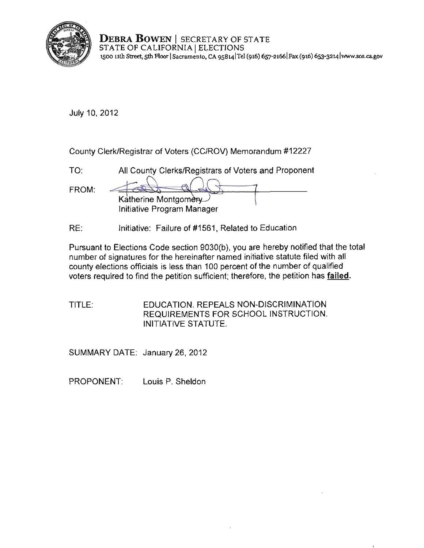

**DEBRA BOWEN** I SECRETARY OF STATE STATE OF CALIFORNIA | ELECTIONS **1500 uth Street, 5th Roor ISacramento, CA 9SB141Tel (916) 657-21661 Fax (916) 6s3-3214 lwww.sos.ca.gov** 

July 10, 2012

County Clerk/Registrar of Voters (CC/ROV) Memorandum #12227

| TO:   | All County Clerks/Registrars of Voters and Proponent |
|-------|------------------------------------------------------|
|       |                                                      |
| FROM: |                                                      |
|       | Katherine Montgomery                                 |
|       | Initiative Program Manager                           |

RE: Initiative: Failure of #1561, Related to Education

Pursuant to Elections Code section 9030(b), you are hereby notified that the total number of signatures for the hereinafter named initiative statute filed with all county elections officials is less than 100 percent of the number of qualified voters required to find the petition sufficient; therefore, the petition has failed.

TITLE: EDUCATION. REPEALS NON-DISCRIMINATION REQUIREMENTS FOR SCHOOL INSTRUCTION. INITIATIVE STATUTE.

SUMMARY DATE: January 26, 2012

PROPONENT: Louis P. Sheldon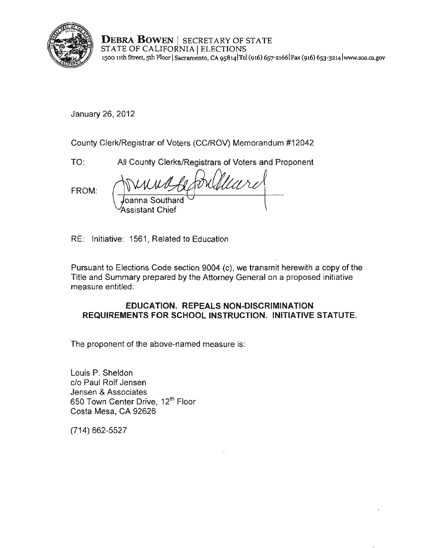

**DEBRA BOWEN** I SECRETARY OF STATE STATE OF CALIFORNIA | ELECTIONS **1500 11th Street, 5th Floor ISacramento, CA 9S8141Tel (916) 657-21661 Fax (916) 653-3214[lwww.sos.cagov](www.sos.ca.gov)** 

January 26,2012

County Clerk/Registrar of Voters (CC/ROV) Memorandum #12042

TO: All County Clerks/Registrars of Voters and Proponent

FROM:

oanna Southard Assistant Chief

RE: Initiative: 1561 , Related to Education

Pursuant to Elections Code section 9004 (c), we transmit herewith a copy of the Title and Summary prepared by the Attorney General on a proposed initiative measure entitled:

# **EDUCATION. REPEALS NON-DISCRIMINATION REQUIREMENTS FOR SCHOOL INSTRUCTION. INITIATIVE STATUTE.**

**The proponent of the above-named measure is:** 

Louis P. Sheldon c/o Paul Rolf Jensen Jensen & Associates 650 Town Center Drive, 12<sup>th</sup> Floor Costa Mesa, CA 92626

(714) 662-5527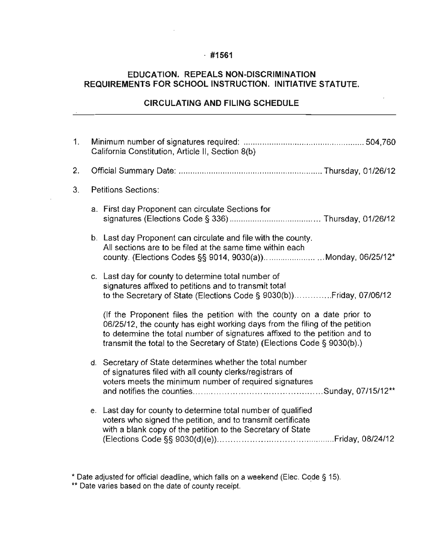### · **#1561**

# **EDUCATION. REPEALS NON-DISCRIMINATION REQUIREMENTS FOR SCHOOL INSTRUCTION. INITIATIVE STATUTE.**

#### **CIRCULATING AND FILING SCHEDULE**

 $\overline{a}$ 

| 1.             | California Constitution, Article II, Section 8(b) |                                                                                                                                                                                                                                                                                                                   |  |
|----------------|---------------------------------------------------|-------------------------------------------------------------------------------------------------------------------------------------------------------------------------------------------------------------------------------------------------------------------------------------------------------------------|--|
| 2.             |                                                   |                                                                                                                                                                                                                                                                                                                   |  |
| 3 <sub>1</sub> |                                                   | <b>Petitions Sections:</b>                                                                                                                                                                                                                                                                                        |  |
|                |                                                   | a. First day Proponent can circulate Sections for                                                                                                                                                                                                                                                                 |  |
|                |                                                   | b. Last day Proponent can circulate and file with the county.<br>All sections are to be filed at the same time within each<br>county. (Elections Codes §§ 9014, 9030(a))Monday, 06/25/12*                                                                                                                         |  |
|                |                                                   | c. Last day for county to determine total number of<br>signatures affixed to petitions and to transmit total                                                                                                                                                                                                      |  |
|                |                                                   | (If the Proponent files the petition with the county on a date prior to<br>06/25/12, the county has eight working days from the filing of the petition<br>to determine the total number of signatures affixed to the petition and to<br>transmit the total to the Secretary of State) (Elections Code § 9030(b).) |  |
|                |                                                   | d. Secretary of State determines whether the total number<br>of signatures filed with all county clerks/registrars of<br>voters meets the minimum number of required signatures                                                                                                                                   |  |
|                |                                                   | e. Last day for county to determine total number of qualified<br>voters who signed the petition, and to transmit certificate<br>with a blank copy of the petition to the Secretary of State                                                                                                                       |  |

 $^{\star}$  Date adjusted for official deadline, which falls on a weekend (Elec. Code § 15).

**<sup>••</sup> Date varies based on the date of county receipt.**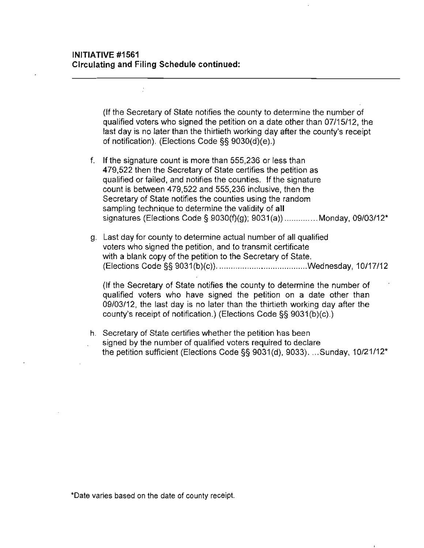(If the Secretary of State notifies the county to determine the number of qualified voters who signed the petition on a date other than 07/15/12, the last day is no later than the thirtieth working day after the county's receipt of notification). (Elections Code §§ 9030(d)(e).)

- f. If the signature count is more than 555,236 or less than 479,522 then the Secretary of State certifies the petition as qualified or failed, and notifies the counties. If the signature count is between 479,522 and 555,236 inclusive, then the Secretary of State notifies the counties using the random sampling technique to determine the validity of all signatures (Elections Code § 9030(f)(g); 9031(a)) .............. Monday, 09/03/12\*
- g. Last day for county to determine actual number of all qualified voters who signed the petition, and to transmit certificate with a blank copy of the petition to the Secretary of State. (Elections Code §§ 9031 (b)(c)) .............................. .... ... . .wednesday, 10/17/12

(If the Secretary of State notifies the county to determine the number of qualified voters who have signed the petition on a date other than 09/03/12, the last day is no later than the thirtieth working day after the county's receipt of notification.) (Elections Code §§ 9031(b)(c).)

h. Secretary of State certifies whether the petition has been **signed by the number of qualified voters required to declare**  the petition sufficient (Elections Code  $\S$ § 9031(d), 9033). ... Sunday, 10/21/12<sup>\*</sup>

**\*Oate varies based on the date of county receipt.**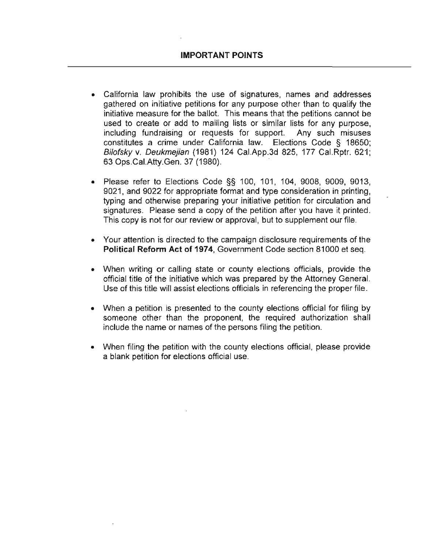- **California law prohibits the use of signatures, names and addresses**  gathered on initiative petitions for any purpose other than to qualify the initiative measure for the ballot. This means that the petitions cannot be used to create or add to mailing lists or similar lists for any purpose, including fundraising or requests for support. Any such misuses constitutes a crime under California law. Elections Code § 18650; Bilofsky v. Deukmejian (1981) 124 CaLApp.3d 825, 177 CaLRptr. 621; 63 Ops.CaLAtty.Gen. 37 (1980).
- Please refer to Elections Code §§ 100, 101, 104, 9008, 9009, 9013, 9021, and 9022 for appropriate format and type consideration in printing, typing and otherwise preparing your initiative petition for circulation and signatures. Please send a copy of the petition after you have it printed. **This copy is not for our review or approval, but to supplement our file.**
- **Your attention is directed to the campaign disclosure requirements of the Political Reform Act of 1974,** Government Code section 81000 et seq.
- When writing or calling state or county elections officials, provide the official title of the initiative which was prepared by the Attorney GeneraL Use of this title will assist elections officials in referencing the proper file.
- When a petition is presented to the county elections official for filing by someone other than the proponent, the required authorization shall include the name or names of the persons filing the petition.
- When filing the petition with the county elections official, please provide a blank petition for elections official use.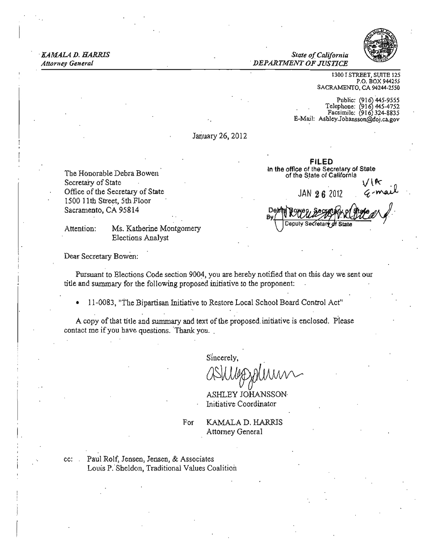*Attorney* 

.KAMALA D. HARRIS *State ofCalifornia* ... *General . DEPARTMENT OF JUSTICE* 



1300 J STREET, SWTE 125 P.O. BOX 944255 SACRAMENTO. CA 94244·2550

Public: (916) 445-9555<br>
elephone: (916) 445-4752  $\frac{5.66}{2}$   $\frac{6.66}{324}$ -8835 E-Mail: Asbley.Johansson@doj.ca.gov

January 26, 2012

Office of the Secretary of State JAN 26 2012<br>1500 11th Street, 5th Floor Sacramento, CA 95814

Elections Analyst

FILED In the office of the Secretary of Stale The Honorable Debra Bowen ' of the State of CalifornIa The State of California . V  $\sqrt{k}$ <br>Secretary of State . V  $\sqrt{k}$ The Honorable Debra Bowen<br>
Secretary of State of the Secretary of State<br>
Define the State of California<br>
Solo 11th Street, 5th Floor<br>
Sacramento, CA 95814<br>
Mention: Ms. Katherine Montgomery<br>
Number of the State of Californ

Deb

Dear Secretary Bowen:

Pursuant to Elections Code section 9004, you are hereby notified that on this day we sent our title and summary for the following proposed initiative to the proponent: and summary for the following proposed initiative to the proponent:<br>11-0083, "The Bipartisan Initiative to Restore Local School Board Control Act"<br>A copy of that title and summary and text of the proposed initiative is enc

<sup>11</sup>-0083, "The Bipartisan Initiative to Restore Local School Board Control Act"

A copy of that title and summary and text of the proposed initiative is enclosed. Please contact me if you have questions. Thank you,

Sincerely,

ASHLEY JOHANSSON Initiative Coordinator

For **KAMALA D. HARRIS** Attorney General

cc: ' Paul Rolf, Jensen, Jensen, & Associates Louis P, "Sheldon, Traditional Values Coalition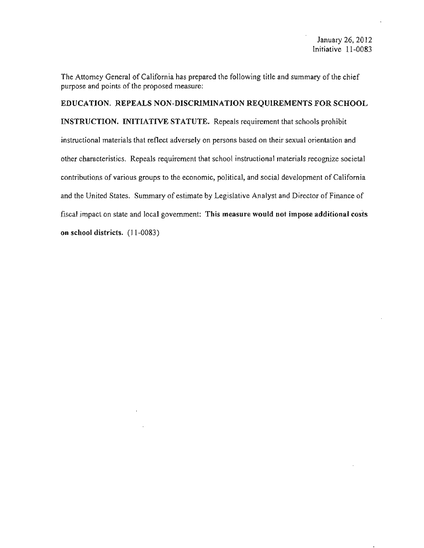The Attorney General of California has prepared the following title and summary of the chief purpose and points of the proposed measure:

EDUCATION. REPEALS NON·DISCRlMINATION REQUIREMENTS FOR SCHOOL INSTRUCTION. INITIATIVE STATUTE. Repeals requirement that schools prohibit instructional materials that reflect adversely on persons based on their sexual orientation and other characteristics. Repeals requirement that school instructional materials recognize societal contributions of various groups to the economic, political, and social development of California and the United States. Summary of estimate by Legislative Analyst and Director of Finance of fiscal impact on state and local government: This measure would not impose additional costs on school districts. (11-0083)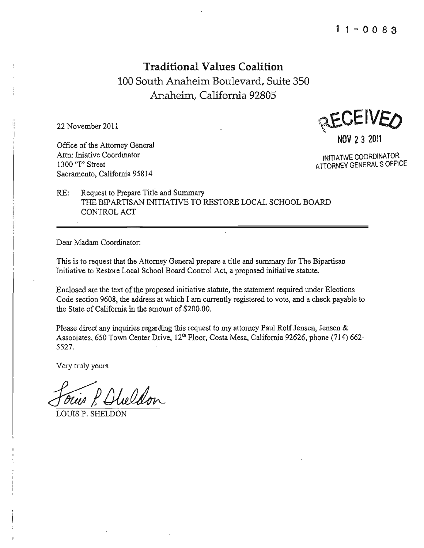**Traditional Values Coalition**  100 South Anaheim Boulevard, Suite 350 Anaheim, California 92805

Office of the Attorney General Attn: Iniative Coordinator **Attn: Iniative Coordinator INITIATIVE COORDINATOR**<br>1300 "I" Street **ATTORNEY GENERAL'S OFFICE** 1300 "I" Street **ATTORNEY GENERAL'S OFFICE Sacramento, California 95814** 

22 November 2011  $\mathbb{R}$  EUEIVED

RE: Request to Prepare Title and Summary THE BIPARTISAN INITIATIVE TO RESTORE LOCAL SCHOOL BOARD CONTROL ACT

**Dear Madam Coordinator:** 

This is to request that the Attorney General prepare a title and summary for The Bipartisan **Initiative to Restore Local School Board Control Act, a proposed initiative statute.** 

Enclosed are the text of the proposed initiative statute, the statement required under Elections **Code section 9608, the address at which I am currently registered to vote, and a check payable to**  the State of California in the amount of \$200.00.

**Please direct any inquiries regarding this request to my attorney Paul Rolf Jensen, Jensen &**  Associates, 650 Town Center Drive, 12<sup>th</sup> Floor, Costa Mesa, California 92626, phone (714) 662-5527.

Very truly yours

Very truly yours<br>Forces P. Olieldon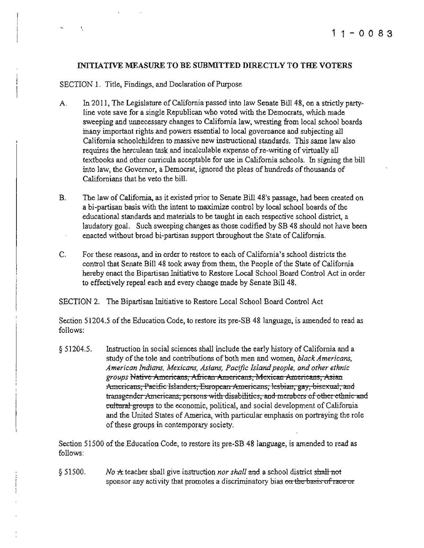#### INITIATIVE MEASURE TO BE SUBMITTED DIRECTLY TO THE VOTERS

#### SECTION 1. Title, Findings, and Declaration of Purpose

 $\mathbf{I}$ 

- A. In 2011, The Legislature of California passed into law Senate Bill 48, on a strictly partyline vote save for a single Republican who voted with the Democrats. which made sweeping and unnecessary changes to California law, wresting from local school boards many important rights and powers essential to local governance and subjecting all California schoolchildren to massive new instructional standards. This same law also requires the herculean task and incalculable expense of re-writing of virtually all textbooks and other curricula acceptable for use in California schools. In signing the bill into law, the Governor, a Democrat, ignored the pleas of hundreds of thousands of Californians that he veto the bill.
- B. The law of California, as it existed prior to Senate Bill 48's passage, had been created on a hi-partisan basis with the intent to maximize control by local school boards ofthe educational standards and materials to be taught in each respective school district, a laudatory goal. Such sweeping changes as those codified by SB 48 should not have been enacted without broad bi-partisan support throughout the State of California.
- C. For these reasons, and in order to restore to each of California's school districts the control that Senate Bill 48 took away from them, the People ofthe State of California hereby enact the Bipartisan Initiative to Restore Local School Board Control Act in order to effectively repeal each and every change made by Senate Bill 48.

SECTION 2. The Bipartisan Initiative to Restore Local School Board Control Act

Section 51204.5 of the Education Code, to restore its pre-SB 48 language, is amended to read as follows:

§ 51204.5. Instruction in social sciences shall include the early history of California and a study of the tole and contributions of both men and women, *black Americans, American Indians, Mexicans, Asians, Pacific Island people, and other ethnic*  groups Native Americans, African Americans, Mexican Americans, Asian Americans, Pacific Islanders, European Americans, lesbian, gay, bisexual, and transgender Americans, persons with-disabilities, and members of other ethnic and cultural groups to the economic, political, and social development of California and the United States of America, with particular emphasis on portraying the role of these groups in contemporary society.

Section 51500 of the Education Code, to restore its pre-SB 48 language, is amended to read as follows:

§ 51500. No A teacher shall give instruction *nor shall* and a school district shall not sponsor any activity that promotes a discriminatory bias on the basis of race or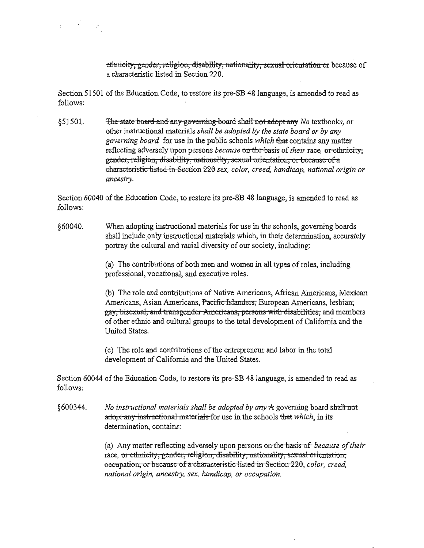ethnicity, gender, religion, disability, nationality, sexual orientation or because of a characteristic listed in Section 220.

Section 51501 ofthe Education Code, to restore its pre-SB 48 language, is amended to read as follows:

 $\mathbf{r} = \mathbf{r}^T \mathbf{r} + \mathbf{r}$ 

§5l501. The state board mid auy govcmiug board shalll10t adopt auy *No* textbooks, or other instructional materials *shall be adopted by the state board or by any governing board* for use in the public schools *which* that contains any matter reflecting adversely upon persons *because* on the basis of *their* race, or ethnicity, gender, religion, disability, nationality, sexual orientation, or because of a characteristic listed in Section 220 sex, color, creed, handicap, national origin or ancestry.

Section 60040 of the Education Code, to restore its pre-SB 48 language, is amended to read as follows:

§60040. When adopting instructional materials for use in the schools, governing boards shall include only instructional materials which, in their determination, accurately portray the cultural and racial diversity of our society, including:

> (a) The contributions of both men and women in all types of roles, including professional, vocational, and executive roles.

(b) The role and contributions of Native Americans, African Americans, Mexican Americans, Asian Americans, Pacific Islanders, European Americans, lesbian, gay, bisexual, and transgender Americans, persons with disabilities, and members of other ethnic and cultural groups to the total development of California and the United States.

(c) The role and contributions of the entrepreneur and labor in the total development of California and the United States.

Section 60044 of the Education Code, to restore its pre-SB 48 language, is amended to read as follows:

§600344. No instructional materials shall be adopted by any <del>A</del> governing board s<del>hall not</del> adopt any instructional materials for use in the schools that *which*, in its determination, contains:

> (a) Any matter reflecting adversely upon persons on the basis of because of their race, or ethnicity, gender, religion, disability, nationality, sexual orientation, occupation, or because of a characteristic listed in Section 220, color, creed, national origin, ancestry, sex, handicap, or occupation.